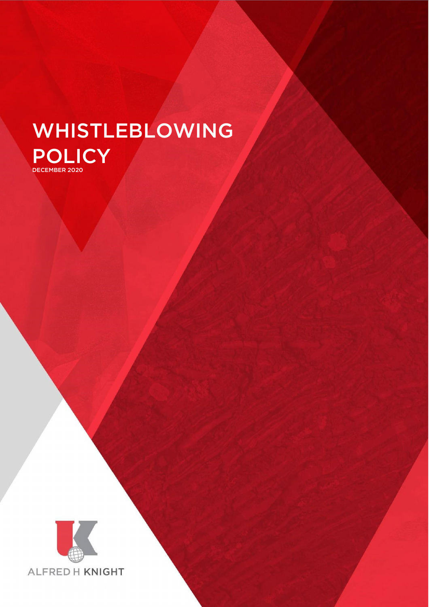# WHISTLEBLOWING POLICY DECEMBER 2020



Whistleblowing Policy Page 1 of 6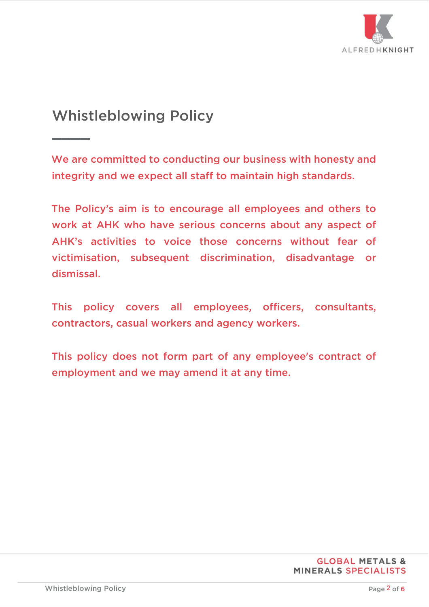

# Whistleblowing Policy

 $\overline{\phantom{a}}$ 

We are committed to conducting our business with honesty and integrity and we expect all staff to maintain high standards.

The Policy's aim is to encourage all employees and others to work at AHK who have serious concerns about any aspect of AHK's activities to voice those concerns without fear of victimisation, subsequent discrimination, disadvantage or dismissal.

This policy covers all employees, officers, consultants, contractors, casual workers and agency workers.

This policy does not form part of any employee's contract of employment and we may amend it at any time.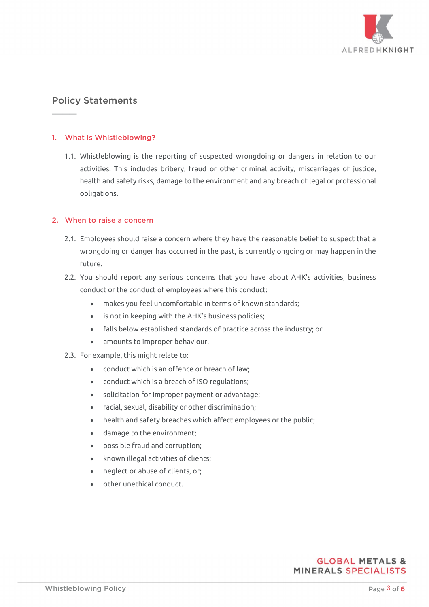

# Policy Statements

 $\overline{\phantom{a}}$ 

#### 1. What is Whistleblowing?

1.1. Whistleblowing is the reporting of suspected wrongdoing or dangers in relation to our activities. This includes bribery, fraud or other criminal activity, miscarriages of justice, health and safety risks, damage to the environment and any breach of legal or professional obligations.

#### 2. When to raise a concern

- 2.1. Employees should raise a concern where they have the reasonable belief to suspect that a wrongdoing or danger has occurred in the past, is currently ongoing or may happen in the future.
- 2.2. You should report any serious concerns that you have about AHK's activities, business conduct or the conduct of employees where this conduct:
	- makes you feel uncomfortable in terms of known standards;
	- is not in keeping with the AHK's business policies;
	- falls below established standards of practice across the industry; or
	- amounts to improper behaviour.
- 2.3. For example, this might relate to:
	- conduct which is an offence or breach of law;
	- conduct which is a breach of ISO regulations;
	- solicitation for improper payment or advantage;
	- racial, sexual, disability or other discrimination;
	- health and safety breaches which affect employees or the public;
	- damage to the environment;
	- possible fraud and corruption;
	- known illegal activities of clients;
	- neglect or abuse of clients, or;
	- other unethical conduct.

# **GLOBAL METALS & MINERALS SPECIALISTS**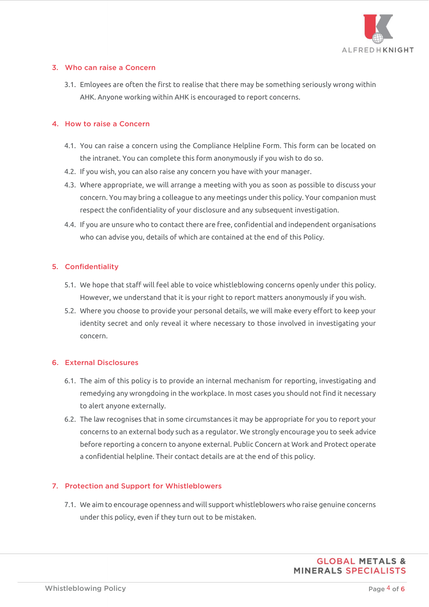

#### 3. Who can raise a Concern

3.1. Emloyees are often the first to realise that there may be something seriously wrong within AHK. Anyone working within AHK is encouraged to report concerns.

#### 4. How to raise a Concern

- 4.1. You can raise a concern using the Compliance Helpline Form. This form can be located on the intranet. You can complete this form anonymously if you wish to do so.
- 4.2. If you wish, you can also raise any concern you have with your manager.
- 4.3. Where appropriate, we will arrange a meeting with you as soon as possible to discuss your concern. You may bring a colleague to any meetings under this policy. Your companion must respect the confidentiality of your disclosure and any subsequent investigation.
- 4.4. If you are unsure who to contact there are free, confidential and independent organisations who can advise you, details of which are contained at the end of this Policy.

# 5. Confidentiality

- 5.1. We hope that staff will feel able to voice whistleblowing concerns openly under this policy. However, we understand that it is your right to report matters anonymously if you wish.
- 5.2. Where you choose to provide your personal details, we will make every effort to keep your identity secret and only reveal it where necessary to those involved in investigating your concern.

# 6. External Disclosures

- 6.1. The aim of this policy is to provide an internal mechanism for reporting, investigating and remedying any wrongdoing in the workplace. In most cases you should not find it necessary to alert anyone externally.
- 6.2. The law recognises that in some circumstances it may be appropriate for you to report your concerns to an external body such as a regulator. We strongly encourage you to seek advice before reporting a concern to anyone external. Public Concern at Work and Protect operate a confidential helpline. Their contact details are at the end of this policy.

#### 7. Protection and Support for Whistleblowers

7.1. We aim to encourage openness and will support whistleblowers who raise genuine concerns under this policy, even if they turn out to be mistaken.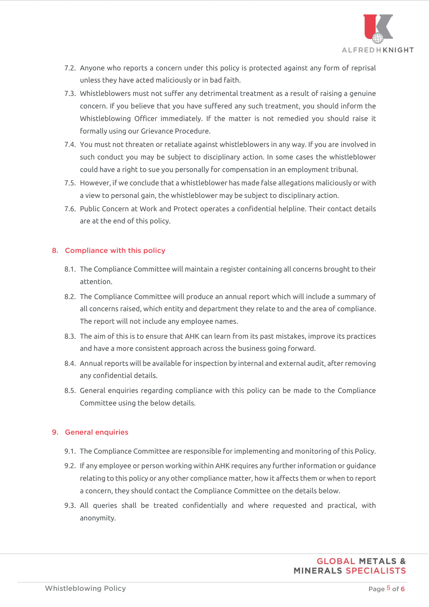

- 7.2. Anyone who reports a concern under this policy is protected against any form of reprisal unless they have acted maliciously or in bad faith.
- 7.3. Whistleblowers must not suffer any detrimental treatment as a result of raising a genuine concern. If you believe that you have suffered any such treatment, you should inform the Whistleblowing Officer immediately. If the matter is not remedied you should raise it formally using our Grievance Procedure.
- 7.4. You must not threaten or retaliate against whistleblowers in any way. If you are involved in such conduct you may be subject to disciplinary action. In some cases the whistleblower could have a right to sue you personally for compensation in an employment tribunal.
- 7.5. However, if we conclude that a whistleblower has made false allegations maliciously or with a view to personal gain, the whistleblower may be subject to disciplinary action.
- 7.6. Public Concern at Work and Protect operates a confidential helpline. Their contact details are at the end of this policy.

#### 8. Compliance with this policy

- 8.1. The Compliance Committee will maintain a register containing all concerns brought to their attention.
- 8.2. The Compliance Committee will produce an annual report which will include a summary of all concerns raised, which entity and department they relate to and the area of compliance. The report will not include any employee names.
- 8.3. The aim of this is to ensure that AHK can learn from its past mistakes, improve its practices and have a more consistent approach across the business going forward.
- 8.4. Annual reports will be available for inspection by internal and external audit, after removing any confidential details.
- 8.5. General enquiries regarding compliance with this policy can be made to the Compliance Committee using the below details.

# 9. General enquiries

- 9.1. The Compliance Committee are responsible for implementing and monitoring of this Policy.
- 9.2. If any employee or person working within AHK requires any further information or guidance relating to this policy or any other compliance matter, how it affects them or when to report a concern, they should contact the Compliance Committee on the details below.
- 9.3. All queries shall be treated confidentially and where requested and practical, with anonymity.